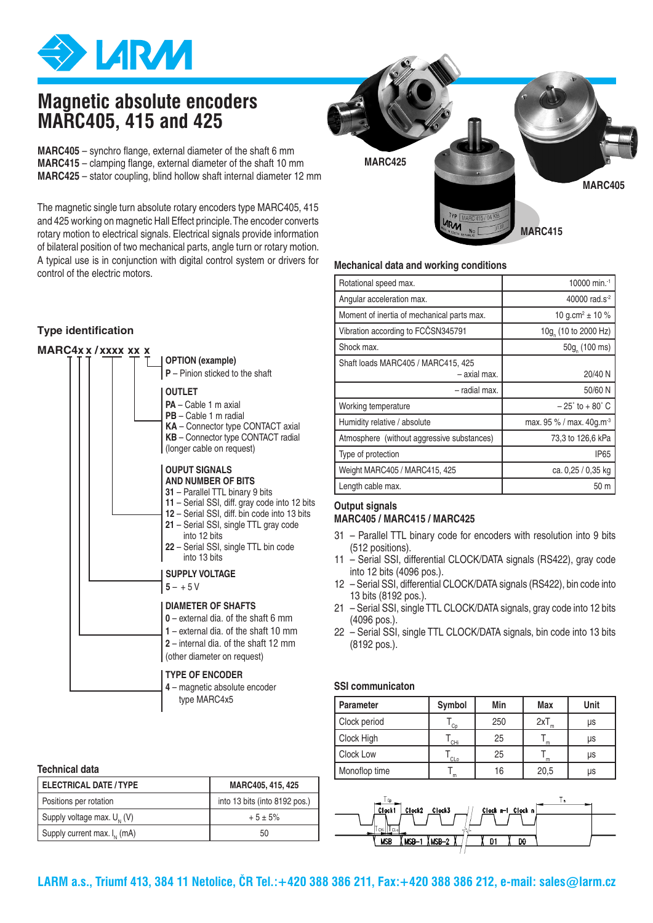

## **Magnetic absolute encoders MARC405, 415 and 425**

**MARC405** – synchro flange, external diameter of the shaft 6 mm **MARC415** – clamping flange, external diameter of the shaft 10 mm **MARC425** – stator coupling, blind hollow shaft internal diameter 12 mm

The magnetic single turn absolute rotary encoders type MARC405, 415 and 425 working on magnetic Hall Effect principle. The encoder converts rotary motion to electrical signals. Electrical signals provide information of bilateral position of two mechanical parts, angle turn or rotary motion. A typical use is in conjunction with digital control system or drivers for control of the electric motors.

## **Type identification**



#### **Technical data**

| <b>ELECTRICAL DATE / TYPE</b>    | MARC405, 415, 425             |
|----------------------------------|-------------------------------|
| Positions per rotation           | into 13 bits (into 8192 pos.) |
| Supply voltage max. $U_{1}$ (V)  | $+5 \pm 5\%$                  |
| Supply current max. $I_{N}$ (mA) | 50                            |



### **Mechanical data and working conditions**

| Rotational speed max.                              | 10000 min. <sup>-1</sup>             |
|----------------------------------------------------|--------------------------------------|
| Angular acceleration max.                          | 40000 rad.s <sup>-2</sup>            |
| Moment of inertia of mechanical parts max.         | 10 g.cm <sup>2</sup> $\pm$ 10 %      |
| Vibration according to FCCSN345791                 | 10g (10 to 2000 Hz)                  |
| Shock max.                                         | 50g (100 ms)                         |
| Shaft loads MARC405 / MARC415, 425<br>- axial max. | 20/40 N                              |
| - radial max.                                      | 50/60 N                              |
| Working temperature                                | $-25^{\circ}$ to $+80^{\circ}$ C     |
| Humidity relative / absolute                       | max. 95 % / max. 40g.m <sup>-3</sup> |
| Atmosphere (without aggressive substances)         | 73,3 to 126,6 kPa                    |
| Type of protection                                 | IP <sub>65</sub>                     |
| Weight MARC405 / MARC415, 425                      | ca. 0,25 / 0,35 kg                   |
| Length cable max.                                  | 50 m                                 |

## **Output signals MARC405 / MARC415 / MARC425**

- 31 Parallel TTL binary code for encoders with resolution into 9 bits (512 positions).
- 11 Serial SSI, differential CLOCK/DATA signals (RS422), gray code into 12 bits (4096 pos.).
- 12 Serial SSI, differential CLOCK/DATA signals (RS422), bin code into 13 bits (8192 pos.).
- 21 Serial SSI, single TTL CLOCK/DATA signals, gray code into 12 bits (4096 pos.).
- 22 Serial SSI, single TTL CLOCK/DATA signals, bin code into 13 bits (8192 pos.).

#### **SSI communicaton**

| <b>Parameter</b> | Symbol | Min | <b>Max</b> | Unit |
|------------------|--------|-----|------------|------|
| Clock period     | Cp     | 250 | 2xT        | μs   |
| Clock High       | CHi    | 25  | m          | μs   |
| Clock Low        | CLo    | 25  | m          | μs   |
| Monoflop time    | m      | 16  | 20,5       | μs   |